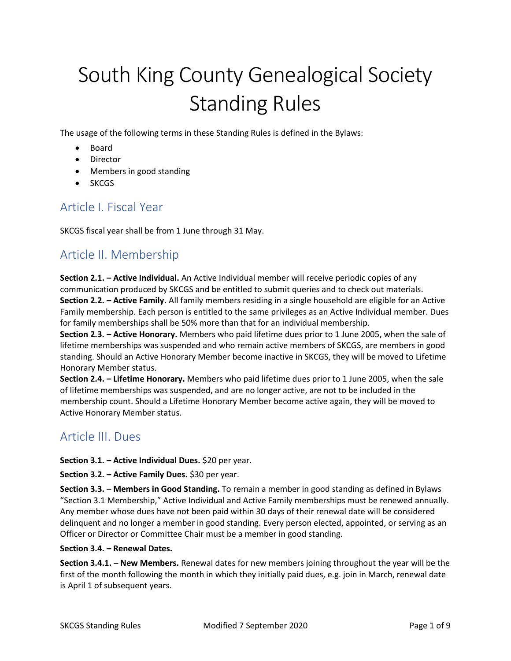# South King County Genealogical Society Standing Rules

The usage of the following terms in these Standing Rules is defined in the Bylaws:

- Board
- Director
- Members in good standing
- SKCGS

## Article I. Fiscal Year

SKCGS fiscal year shall be from 1 June through 31 May.

## Article II. Membership

**Section 2.1. – Active Individual.** An Active Individual member will receive periodic copies of any communication produced by SKCGS and be entitled to submit queries and to check out materials. **Section 2.2. – Active Family.** All family members residing in a single household are eligible for an Active Family membership. Each person is entitled to the same privileges as an Active Individual member. Dues for family memberships shall be 50% more than that for an individual membership.

**Section 2.3. – Active Honorary.** Members who paid lifetime dues prior to 1 June 2005, when the sale of lifetime memberships was suspended and who remain active members of SKCGS, are members in good standing. Should an Active Honorary Member become inactive in SKCGS, they will be moved to Lifetime Honorary Member status.

**Section 2.4. – Lifetime Honorary.** Members who paid lifetime dues prior to 1 June 2005, when the sale of lifetime memberships was suspended, and are no longer active, are not to be included in the membership count. Should a Lifetime Honorary Member become active again, they will be moved to Active Honorary Member status.

## Article III. Dues

**Section 3.1. – Active Individual Dues.** \$20 per year.

**Section 3.2. – Active Family Dues.** \$30 per year.

**Section 3.3. – Members in Good Standing.** To remain a member in good standing as defined in Bylaws "Section 3.1 Membership," Active Individual and Active Family memberships must be renewed annually. Any member whose dues have not been paid within 30 days of their renewal date will be considered delinquent and no longer a member in good standing. Every person elected, appointed, or serving as an Officer or Director or Committee Chair must be a member in good standing.

## **Section 3.4. – Renewal Dates.**

**Section 3.4.1. – New Members.** Renewal dates for new members joining throughout the year will be the first of the month following the month in which they initially paid dues, e.g. join in March, renewal date is April 1 of subsequent years.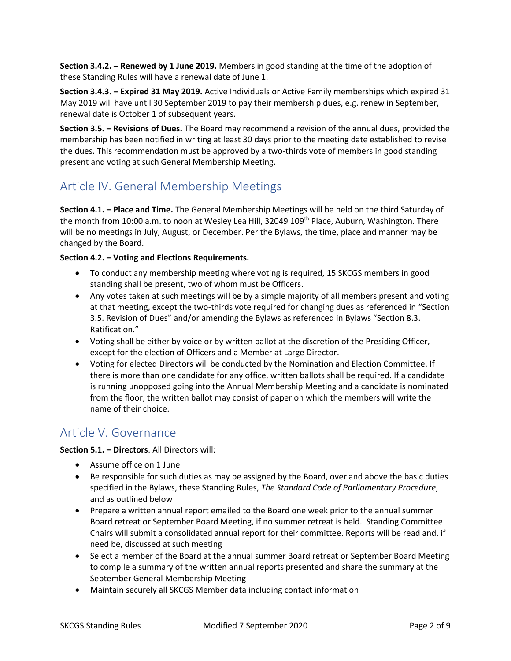**Section 3.4.2. – Renewed by 1 June 2019.** Members in good standing at the time of the adoption of these Standing Rules will have a renewal date of June 1.

**Section 3.4.3. – Expired 31 May 2019.** Active Individuals or Active Family memberships which expired 31 May 2019 will have until 30 September 2019 to pay their membership dues, e.g. renew in September, renewal date is October 1 of subsequent years.

**Section 3.5. – Revisions of Dues.** The Board may recommend a revision of the annual dues, provided the membership has been notified in writing at least 30 days prior to the meeting date established to revise the dues. This recommendation must be approved by a two-thirds vote of members in good standing present and voting at such General Membership Meeting.

# Article IV. General Membership Meetings

**Section 4.1. – Place and Time.** The General Membership Meetings will be held on the third Saturday of the month from 10:00 a.m. to noon at Wesley Lea Hill, 32049 109<sup>th</sup> Place, Auburn, Washington. There will be no meetings in July, August, or December. Per the Bylaws, the time, place and manner may be changed by the Board.

## **Section 4.2. – Voting and Elections Requirements.**

- To conduct any membership meeting where voting is required, 15 SKCGS members in good standing shall be present, two of whom must be Officers.
- Any votes taken at such meetings will be by a simple majority of all members present and voting at that meeting, except the two-thirds vote required for changing dues as referenced in "Section 3.5. Revision of Dues" and/or amending the Bylaws as referenced in Bylaws "Section 8.3. Ratification."
- Voting shall be either by voice or by written ballot at the discretion of the Presiding Officer, except for the election of Officers and a Member at Large Director.
- Voting for elected Directors will be conducted by the Nomination and Election Committee. If there is more than one candidate for any office, written ballots shall be required. If a candidate is running unopposed going into the Annual Membership Meeting and a candidate is nominated from the floor, the written ballot may consist of paper on which the members will write the name of their choice.

## Article V. Governance

## **Section 5.1. – Directors**. All Directors will:

- Assume office on 1 June
- Be responsible for such duties as may be assigned by the Board, over and above the basic duties specified in the Bylaws, these Standing Rules, *The Standard Code of Parliamentary Procedure*, and as outlined below
- Prepare a written annual report emailed to the Board one week prior to the annual summer Board retreat or September Board Meeting, if no summer retreat is held. Standing Committee Chairs will submit a consolidated annual report for their committee. Reports will be read and, if need be, discussed at such meeting
- Select a member of the Board at the annual summer Board retreat or September Board Meeting to compile a summary of the written annual reports presented and share the summary at the September General Membership Meeting
- Maintain securely all SKCGS Member data including contact information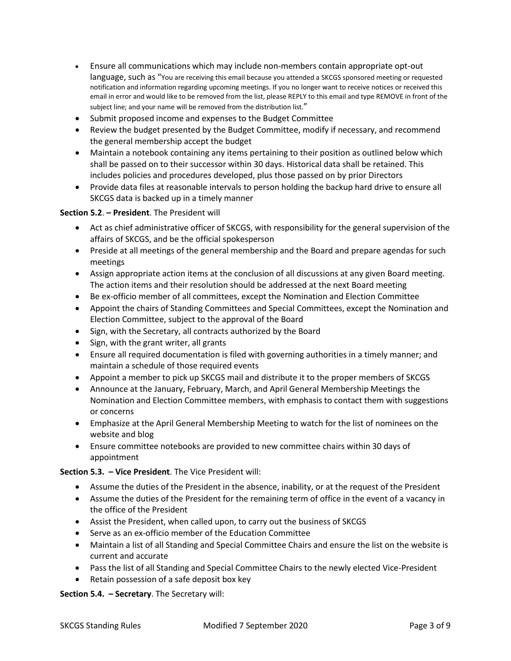- Ensure all communications which may include non-members contain appropriate opt-out language, such as "You are receiving this email because you attended a SKCGS sponsored meeting or requested notification and information regarding upcoming meetings. If you no longer want to receive notices or received this email in error and would like to be removed from the list, please REPLY to this email and type REMOVE in front of the subject line; and your name will be removed from the distribution list."
- Submit proposed income and expenses to the Budget Committee
- Review the budget presented by the Budget Committee, modify if necessary, and recommend the general membership accept the budget
- Maintain a notebook containing any items pertaining to their position as outlined below which shall be passed on to their successor within 30 days. Historical data shall be retained. This includes policies and procedures developed, plus those passed on by prior Directors
- Provide data files at reasonable intervals to person holding the backup hard drive to ensure all SKCGS data is backed up in a timely manner

## **Section 5.2**. **– President**. The President will

- Act as chief administrative officer of SKCGS, with responsibility for the general supervision of the affairs of SKCGS, and be the official spokesperson
- Preside at all meetings of the general membership and the Board and prepare agendas for such meetings
- Assign appropriate action items at the conclusion of all discussions at any given Board meeting. The action items and their resolution should be addressed at the next Board meeting
- Be ex-officio member of all committees, except the Nomination and Election Committee
- Appoint the chairs of Standing Committees and Special Committees, except the Nomination and Election Committee, subject to the approval of the Board
- Sign, with the Secretary, all contracts authorized by the Board
- Sign, with the grant writer, all grants
- Ensure all required documentation is filed with governing authorities in a timely manner; and maintain a schedule of those required events
- Appoint a member to pick up SKCGS mail and distribute it to the proper members of SKCGS
- Announce at the January, February, March, and April General Membership Meetings the Nomination and Election Committee members, with emphasis to contact them with suggestions or concerns
- Emphasize at the April General Membership Meeting to watch for the list of nominees on the website and blog
- Ensure committee notebooks are provided to new committee chairs within 30 days of appointment

## **Section 5.3. – Vice President**. The Vice President will:

- Assume the duties of the President in the absence, inability, or at the request of the President
- Assume the duties of the President for the remaining term of office in the event of a vacancy in the office of the President
- Assist the President, when called upon, to carry out the business of SKCGS
- Serve as an ex-officio member of the Education Committee
- Maintain a list of all Standing and Special Committee Chairs and ensure the list on the website is current and accurate
- Pass the list of all Standing and Special Committee Chairs to the newly elected Vice-President
- Retain possession of a safe deposit box key

**Section 5.4. – Secretary**. The Secretary will: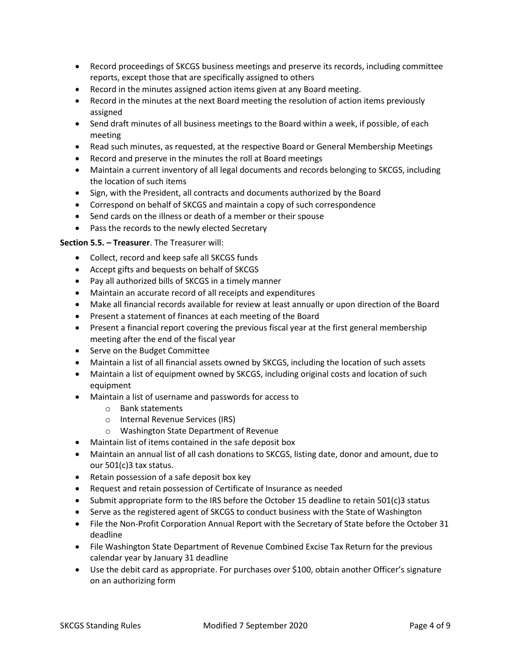- Record proceedings of SKCGS business meetings and preserve its records, including committee reports, except those that are specifically assigned to others
- Record in the minutes assigned action items given at any Board meeting.
- Record in the minutes at the next Board meeting the resolution of action items previously assigned
- Send draft minutes of all business meetings to the Board within a week, if possible, of each meeting
- Read such minutes, as requested, at the respective Board or General Membership Meetings
- Record and preserve in the minutes the roll at Board meetings
- Maintain a current inventory of all legal documents and records belonging to SKCGS, including the location of such items
- Sign, with the President, all contracts and documents authorized by the Board
- Correspond on behalf of SKCGS and maintain a copy of such correspondence
- Send cards on the illness or death of a member or their spouse
- Pass the records to the newly elected Secretary

## **Section 5.5. – Treasurer**. The Treasurer will:

- Collect, record and keep safe all SKCGS funds
- Accept gifts and bequests on behalf of SKCGS
- Pay all authorized bills of SKCGS in a timely manner
- Maintain an accurate record of all receipts and expenditures
- Make all financial records available for review at least annually or upon direction of the Board
- Present a statement of finances at each meeting of the Board
- Present a financial report covering the previous fiscal year at the first general membership meeting after the end of the fiscal year
- Serve on the Budget Committee
- Maintain a list of all financial assets owned by SKCGS, including the location of such assets
- Maintain a list of equipment owned by SKCGS, including original costs and location of such equipment
- Maintain a list of username and passwords for access to
	- o Bank statements
	- o Internal Revenue Services (IRS)
	- o Washington State Department of Revenue
- Maintain list of items contained in the safe deposit box
- Maintain an annual list of all cash donations to SKCGS, listing date, donor and amount, due to our 501(c)3 tax status.
- Retain possession of a safe deposit box key
- Request and retain possession of Certificate of Insurance as needed
- Submit appropriate form to the IRS before the October 15 deadline to retain 501(c)3 status
- Serve as the registered agent of SKCGS to conduct business with the State of Washington
- File the Non-Profit Corporation Annual Report with the Secretary of State before the October 31 deadline
- File Washington State Department of Revenue Combined Excise Tax Return for the previous calendar year by January 31 deadline
- Use the debit card as appropriate. For purchases over \$100, obtain another Officer's signature on an authorizing form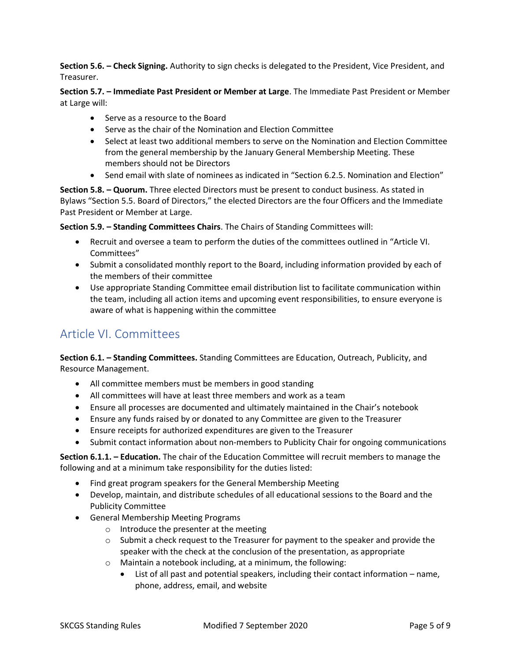**Section 5.6. – Check Signing.** Authority to sign checks is delegated to the President, Vice President, and Treasurer.

**Section 5.7. – Immediate Past President or Member at Large**. The Immediate Past President or Member at Large will:

- Serve as a resource to the Board
- Serve as the chair of the Nomination and Election Committee
- Select at least two additional members to serve on the Nomination and Election Committee from the general membership by the January General Membership Meeting. These members should not be Directors
- Send email with slate of nominees as indicated in "Section 6.2.5. Nomination and Election"

**Section 5.8. – Quorum.** Three elected Directors must be present to conduct business. As stated in Bylaws "Section 5.5. Board of Directors," the elected Directors are the four Officers and the Immediate Past President or Member at Large.

**Section 5.9. – Standing Committees Chairs**. The Chairs of Standing Committees will:

- Recruit and oversee a team to perform the duties of the committees outlined in "Article VI. Committees"
- Submit a consolidated monthly report to the Board, including information provided by each of the members of their committee
- Use appropriate Standing Committee email distribution list to facilitate communication within the team, including all action items and upcoming event responsibilities, to ensure everyone is aware of what is happening within the committee

# Article VI. Committees

**Section 6.1. – Standing Committees.** Standing Committees are Education, Outreach, Publicity, and Resource Management.

- All committee members must be members in good standing
- All committees will have at least three members and work as a team
- Ensure all processes are documented and ultimately maintained in the Chair's notebook
- Ensure any funds raised by or donated to any Committee are given to the Treasurer
- Ensure receipts for authorized expenditures are given to the Treasurer
- Submit contact information about non-members to Publicity Chair for ongoing communications

**Section 6.1.1. – Education.** The chair of the Education Committee will recruit members to manage the following and at a minimum take responsibility for the duties listed:

- Find great program speakers for the General Membership Meeting
- Develop, maintain, and distribute schedules of all educational sessions to the Board and the Publicity Committee
- General Membership Meeting Programs
	- o Introduce the presenter at the meeting
	- $\circ$  Submit a check request to the Treasurer for payment to the speaker and provide the speaker with the check at the conclusion of the presentation, as appropriate
	- o Maintain a notebook including, at a minimum, the following:
		- List of all past and potential speakers, including their contact information name, phone, address, email, and website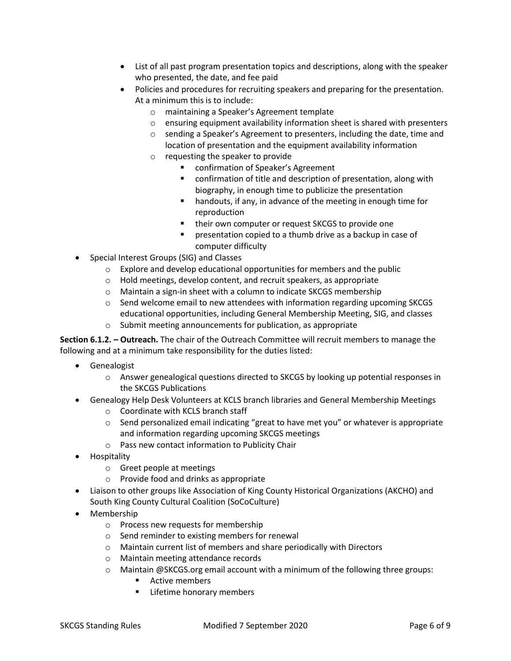- List of all past program presentation topics and descriptions, along with the speaker who presented, the date, and fee paid
- Policies and procedures for recruiting speakers and preparing for the presentation. At a minimum this is to include:
	- o maintaining a Speaker's Agreement template
	- $\circ$  ensuring equipment availability information sheet is shared with presenters
	- o sending a Speaker's Agreement to presenters, including the date, time and location of presentation and the equipment availability information
	- o requesting the speaker to provide
		- confirmation of Speaker's Agreement
		- confirmation of title and description of presentation, along with biography, in enough time to publicize the presentation
		- handouts, if any, in advance of the meeting in enough time for reproduction
		- their own computer or request SKCGS to provide one
		- presentation copied to a thumb drive as a backup in case of computer difficulty
- Special Interest Groups (SIG) and Classes
	- o Explore and develop educational opportunities for members and the public
	- o Hold meetings, develop content, and recruit speakers, as appropriate
	- o Maintain a sign-in sheet with a column to indicate SKCGS membership
	- o Send welcome email to new attendees with information regarding upcoming SKCGS educational opportunities, including General Membership Meeting, SIG, and classes
	- o Submit meeting announcements for publication, as appropriate

**Section 6.1.2. – Outreach.** The chair of the Outreach Committee will recruit members to manage the following and at a minimum take responsibility for the duties listed:

- Genealogist
	- $\circ$  Answer genealogical questions directed to SKCGS by looking up potential responses in the SKCGS Publications
- Genealogy Help Desk Volunteers at KCLS branch libraries and General Membership Meetings
	- o Coordinate with KCLS branch staff
	- o Send personalized email indicating "great to have met you" or whatever is appropriate and information regarding upcoming SKCGS meetings
	- o Pass new contact information to Publicity Chair
- Hospitality
	- o Greet people at meetings
	- o Provide food and drinks as appropriate
- Liaison to other groups like Association of King County Historical Organizations (AKCHO) and South King County Cultural Coalition (SoCoCulture)
- Membership
	- o Process new requests for membership
	- o Send reminder to existing members for renewal
	- o Maintain current list of members and share periodically with Directors
	- o Maintain meeting attendance records
	- $\circ$  Maintain @SKCGS.org email account with a minimum of the following three groups:
		- Active members
		- Lifetime honorary members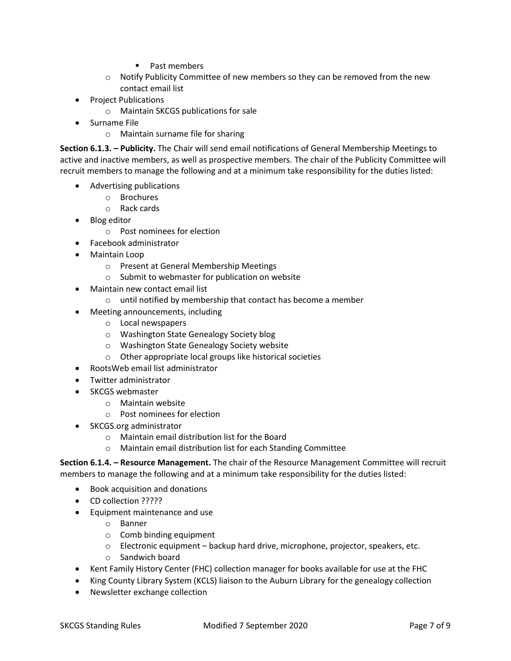- Past members
- $\circ$  Notify Publicity Committee of new members so they can be removed from the new contact email list
- Project Publications
	- o Maintain SKCGS publications for sale
- Surname File
	- o Maintain surname file for sharing

**Section 6.1.3. – Publicity.** The Chair will send email notifications of General Membership Meetings to active and inactive members, as well as prospective members. The chair of the Publicity Committee will recruit members to manage the following and at a minimum take responsibility for the duties listed:

- Advertising publications
	- o Brochures
	- o Rack cards
- Blog editor
	- o Post nominees for election
- Facebook administrator
- Maintain Loop
	- o Present at General Membership Meetings
	- o Submit to webmaster for publication on website
- Maintain new contact email list
	- o until notified by membership that contact has become a member
- Meeting announcements, including
	- o Local newspapers
	- o Washington State Genealogy Society blog
	- o Washington State Genealogy Society website
	- o Other appropriate local groups like historical societies
- RootsWeb email list administrator
- Twitter administrator
- SKCGS webmaster
	- o Maintain website
	- o Post nominees for election
- SKCGS.org administrator
	- o Maintain email distribution list for the Board
	- o Maintain email distribution list for each Standing Committee

**Section 6.1.4. – Resource Management.** The chair of the Resource Management Committee will recruit members to manage the following and at a minimum take responsibility for the duties listed:

- Book acquisition and donations
- CD collection ?????
- Equipment maintenance and use
	- o Banner
	- o Comb binding equipment
	- $\circ$  Electronic equipment backup hard drive, microphone, projector, speakers, etc.
	- o Sandwich board
- Kent Family History Center (FHC) collection manager for books available for use at the FHC
- King County Library System (KCLS) liaison to the Auburn Library for the genealogy collection
- Newsletter exchange collection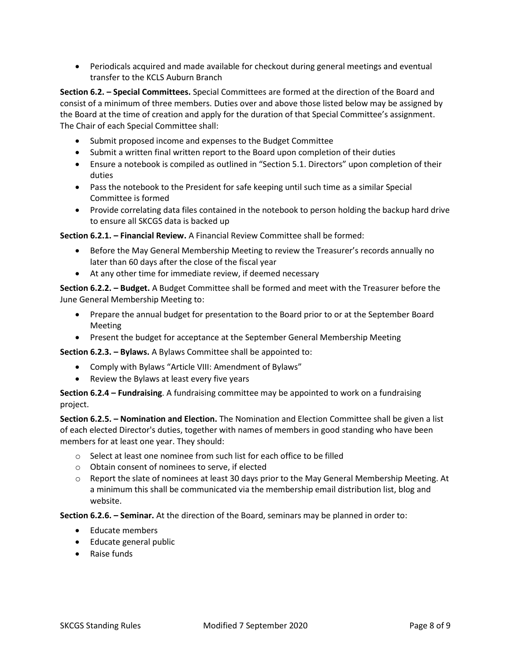• Periodicals acquired and made available for checkout during general meetings and eventual transfer to the KCLS Auburn Branch

**Section 6.2. – Special Committees.** Special Committees are formed at the direction of the Board and consist of a minimum of three members. Duties over and above those listed below may be assigned by the Board at the time of creation and apply for the duration of that Special Committee's assignment. The Chair of each Special Committee shall:

- Submit proposed income and expenses to the Budget Committee
- Submit a written final written report to the Board upon completion of their duties
- Ensure a notebook is compiled as outlined in "Section 5.1. Directors" upon completion of their duties
- Pass the notebook to the President for safe keeping until such time as a similar Special Committee is formed
- Provide correlating data files contained in the notebook to person holding the backup hard drive to ensure all SKCGS data is backed up

**Section 6.2.1. – Financial Review.** A Financial Review Committee shall be formed:

- Before the May General Membership Meeting to review the Treasurer's records annually no later than 60 days after the close of the fiscal year
- At any other time for immediate review, if deemed necessary

**Section 6.2.2. – Budget.** A Budget Committee shall be formed and meet with the Treasurer before the June General Membership Meeting to:

- Prepare the annual budget for presentation to the Board prior to or at the September Board Meeting
- Present the budget for acceptance at the September General Membership Meeting

**Section 6.2.3. – Bylaws.** A Bylaws Committee shall be appointed to:

- Comply with Bylaws "Article VIII: Amendment of Bylaws"
- Review the Bylaws at least every five years

**Section 6.2.4 – Fundraising**. A fundraising committee may be appointed to work on a fundraising project.

**Section 6.2.5. – Nomination and Election.** The Nomination and Election Committee shall be given a list of each elected Director's duties, together with names of members in good standing who have been members for at least one year. They should:

- $\circ$  Select at least one nominee from such list for each office to be filled
- o Obtain consent of nominees to serve, if elected
- o Report the slate of nominees at least 30 days prior to the May General Membership Meeting. At a minimum this shall be communicated via the membership email distribution list, blog and website.

**Section 6.2.6. – Seminar.** At the direction of the Board, seminars may be planned in order to:

- Educate members
- Educate general public
- Raise funds